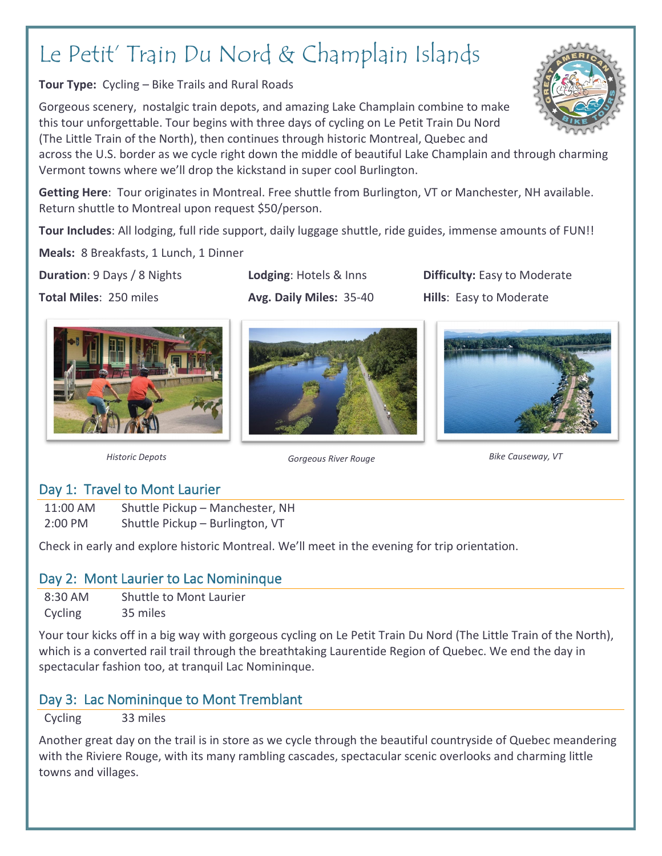# Le Petit' Train Du Nord & Champlain Islands

**Tour Type:** Cycling – Bike Trails and Rural Roads

Gorgeous scenery, nostalgic train depots, and amazing Lake Champlain combine to make this tour unforgettable. Tour begins with three days of cycling on Le Petit Train Du Nord (The Little Train of the North), then continues through historic Montreal, Quebec and

across the U.S. border as we cycle right down the middle of beautiful Lake Champlain and through charming Vermont towns where we'll drop the kickstand in super cool Burlington.

**Getting Here**: Tour originates in Montreal. Free shuttle from Burlington, VT or Manchester, NH available. Return shuttle to Montreal upon request \$50/person.

**Tour Includes**: All lodging, full ride support, daily luggage shuttle, ride guides, immense amounts of FUN!!

**Meals:** 8 Breakfasts, 1 Lunch, 1 Dinner

**Duration**: 9 Days / 8 Nights. **Lodging**: Hotels & Inns **Difficulty:** Easy to Moderate **Total Miles**: 250 miles **Avg. Daily Miles: 35-40 Hills**: Easy to Moderate







*Historic Depots Gorgeous River Rouge Bike Causeway, VT*

## Day 1: Travel to Mont Laurier

11:00 AM Shuttle Pickup – Manchester, NH 2:00 PM Shuttle Pickup – Burlington, VT

Check in early and explore historic Montreal. We'll meet in the evening for trip orientation.

## Day 2: Mont Laurier to Lac Nomininque

8:30 AM Shuttle to Mont Laurier Cycling 35 miles

Your tour kicks off in a big way with gorgeous cycling on Le Petit Train Du Nord (The Little Train of the North), which is a converted rail trail through the breathtaking Laurentide Region of Quebec. We end the day in spectacular fashion too, at tranquil Lac Nomininque.

# Day 3: Lac Nomininque to Mont Tremblant

Cycling 33 miles

Another great day on the trail is in store as we cycle through the beautiful countryside of Quebec meandering with the Riviere Rouge, with its many rambling cascades, spectacular scenic overlooks and charming little towns and villages.